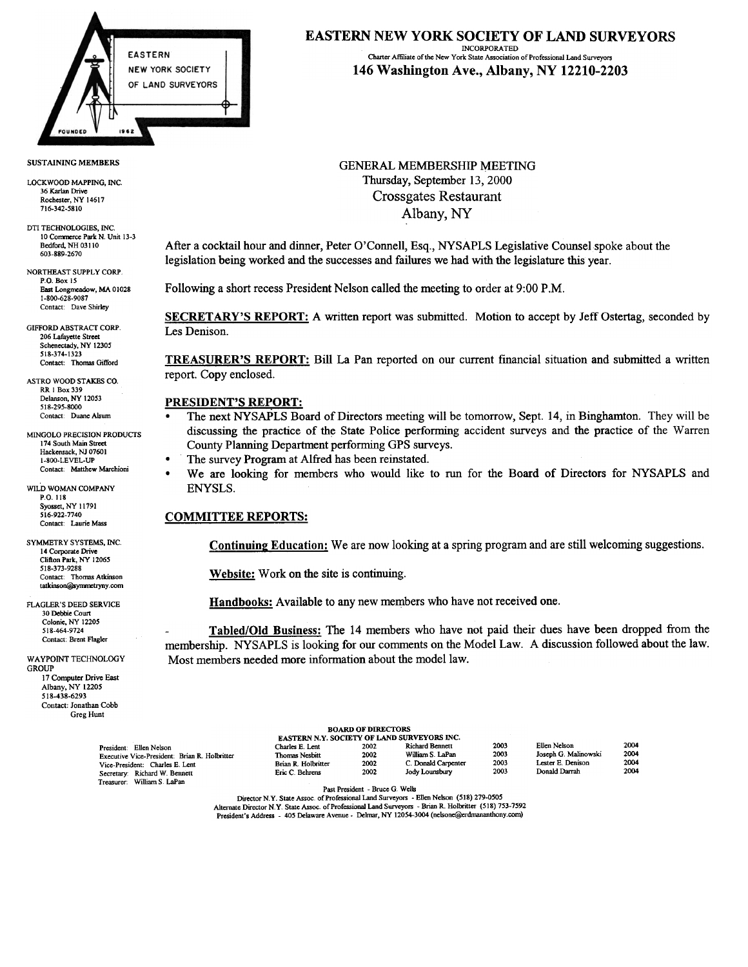

#### SUSTAINING MEMBERS

LOCKWOOD MAPPING, INC 36 Karlan Drive Rochester, NY 14617 716-342-5810

DTI TECHNOLOGIES, INC 10 Commerce Park N. Unit 13-3 Bedford, NH 03110 603-889-2670

NORTHEAST SUPPLY CORP PO Box IS East Longmeadow, MA 01028 1-800-628-9087 Contact: Dave Shirley

GIFFORD ABSTRACT CORP. Les Denison. 206 Lafayette Street Schenectady, NY 12305 518-374-1323<br>Contact: Thomas Gifford

ASTRO WOOD STAKES CO. RR I Box 339 Delanson, NY 12053 518-295-8000 Contact: Duane Alsum

MINGOLO PRECISION PRODUCTS 174 South Main Street Hackensack, NJ 0760 I 1-800-LEVEL-UP Contact: Matthew Marchioni

WILD WOMAN COMPANY P.O. 118 Syosset, NY 11791 516-922-7740 Contact: Laurie Mass

SYMMETRY SYSTEMS, INC 14 Corporate Drive Clifton Park, NY 12065 518-373-9288 Contact: Thomas Atkinson tatkinson@symmetryny.com

FLAGLER'S DEED SERVICE 30 Debbie Court Colonic, NY 12205 518-464-9724 Contact: Brent Flagler

WAYPOINT TECHNOLOGY **GROUP** 17 Computer Drive East Albany, NY 12205 518-438-6293 Contact: Jonathan Cobb Greg Hunt

Treasurer William S LaPan

GENERAL MEMBERSHIP MEETING Thursday, September 13,2000 Crossgates Restaurant Albany, NY

After a cocktail hour and dinner, Peter O'Connell, Esq., NYSAPLS Legislative Counsel spoke about the legislation being worked and the successes and failures we had with the legislature this year.

Following a short recess President Nelson called the meeting to order at 9:00 P.M.

SECRETARY'S REPORT: A written report was submitted. Motion to accept by Jeff Ostertag, seconded by

TREASURER'S REPORT: Bill La Pan reported on our current financial situation and submitted a written report. Copy enclosed.

### PRESIDENT'S REPORT:

- The next NYSAPLS Board of Directors meeting will be tomorrow, Sept. 14, in Binghamton. They will be discussing the practice of the State Police performing accident surveys and the practice of the Warren County Planning Department performing GPS surveys.
- .The survey Program at Alfred has been reinstated.
- .Weare looking for members who would like to run for the Board of Directors for NYSAPLS and ENYSLS.

## COMMITTEE REPORTS:

Continuing Education: We are now looking at a spring program and are still welcoming suggestions.

Website: Work on the site is continuing.

Handbooks: Available to any new members who have not received one.

Tabled/Old Business: The 14 members who have not paid their dues have been dropped from the membership. NYSAPLS is looking for our comments on the Model Law. A discussion followed about the law. Most members needed more information about the model law.

#### BOARD OF DIRECTORS EASTERN N.Y. SOCIETY OF LAND SURVEYORS INC.

| President: Ellen Nelson                       | Charles E. Lent     | 2002 | <b>Richard Bennett</b> | 2003 | Ellen Nelson         | 2004 |
|-----------------------------------------------|---------------------|------|------------------------|------|----------------------|------|
| Executive Vice-President: Brian R. Holbritter | Thomas Nesbitt      | 2002 | William S. LaPan       | 2003 | Joseph G. Malinowski | 2004 |
| Vice-President: Charles E. Lent               | Brian R. Holbritter | 2002 | C. Donald Carpenter    | 2003 | Lester E. Denison    | 2004 |
| Secretary: Richard W. Bennett                 | Eric C. Behrens     | 2002 | Jody Lounsbury         | 2003 | Donald Darrah        | 2004 |

Past President -Bruce G Wells

Director N.Y. State Assoc. of Professional Land Surveyors - Ellen Nelson (518) 279-0505 Alternate Director N Y State Assoc of Professional Land Surveyors -Brian R Hollxitter (518) 753-7592 President's Address - 405 Delaware Avenue - Delmar, NY 12054-3004 (nelsone@erdmananthony.com)

#### EASTERN NEW YORK SOCIETY OF LAND SURVEYORS INCORPORATED Charter Affiliate of the New York State Association of Professional Land Surveyors

# 146 Washington Ave., Albany, NY 12210-2203